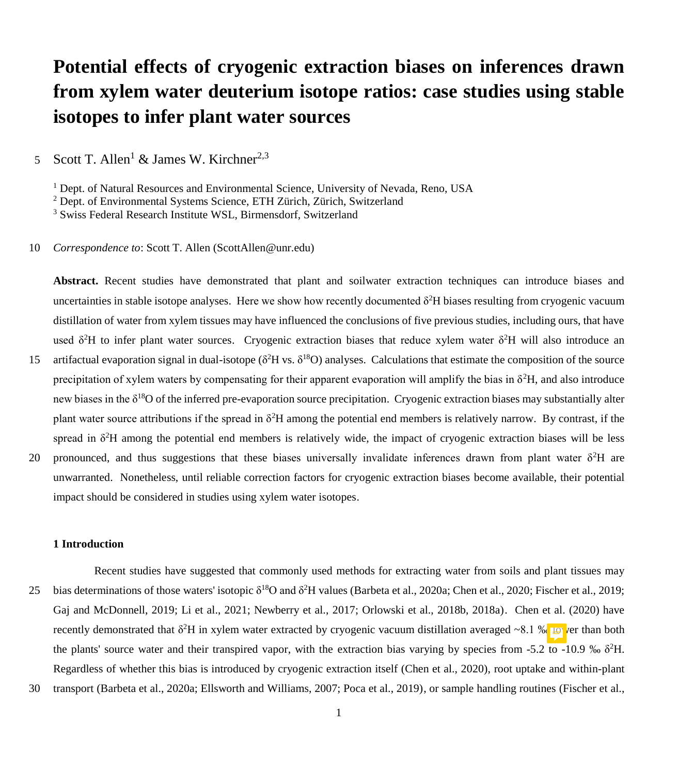# **Potential effects of cryogenic extraction biases on inferences drawn from xylem water deuterium isotope ratios: case studies using stable isotopes to infer plant water sources**

5 Scott T. Allen<sup>1</sup> & James W. Kirchner<sup>2,3</sup>

<sup>1</sup> Dept. of Natural Resources and Environmental Science, University of Nevada, Reno, USA

<sup>2</sup> Dept. of Environmental Systems Science, ETH Zürich, Zürich, Switzerland

<sup>3</sup> Swiss Federal Research Institute WSL, Birmensdorf, Switzerland

10 *Correspondence to*: Scott T. Allen (ScottAllen@unr.edu)

**Abstract.** Recent studies have demonstrated that plant and soilwater extraction techniques can introduce biases and uncertainties in stable isotope analyses. Here we show how recently documented  $\delta^2H$  biases resulting from cryogenic vacuum distillation of water from xylem tissues may have influenced the conclusions of five previous studies, including ours, that have used  $\delta^2$ H to infer plant water sources. Cryogenic extraction biases that reduce xylem water  $\delta^2$ H will also introduce an 15 artifactual evaporation signal in dual-isotope ( $\delta^2$ H vs.  $\delta^{18}$ O) analyses. Calculations that estimate the composition of the source precipitation of xylem waters by compensating for their apparent evaporation will amplify the bias in  $\delta^2 H$ , and also introduce

new biases in the  $\delta^{18}O$  of the inferred pre-evaporation source precipitation. Cryogenic extraction biases may substantially alter

plant water source attributions if the spread in  $\delta^2H$  among the potential end members is relatively narrow. By contrast, if the spread in  $\delta^2$ H among the potential end members is relatively wide, the impact of cryogenic extraction biases will be less

20 pronounced, and thus suggestions that these biases universally invalidate inferences drawn from plant water  $\delta^2H$  are unwarranted. Nonetheless, until reliable correction factors for cryogenic extraction biases become available, their potential impact should be considered in studies using xylem water isotopes.

### **1 Introduction**

- Recent studies have suggested that commonly used methods for extracting water from soils and plant tissues may 25 bias determinations of those waters' isotopic  $\delta^{18}O$  and  $\delta^2H$  values (Barbeta et al., 2020a; Chen et al., 2020; Fischer et al., 2019; Gaj and McDonnell, 2019; Li et al., 2021; Newberry et al., 2017; Orlowski et al., 2018b, 2018a). Chen et al. (2020) have recently demonstrated that  $\delta^2H$  in xylem water extracted by cryogenic vacuum distillation averaged ~8.1 % is ver than both the plants' source water and their transpired vapor, with the extraction bias varying by species from -5.2 to -10.9 ‰  $\delta^2$ H. Regardless of whether this bias is introduced by cryogenic extraction itself (Chen et al., 2020), root uptake and within-plant
- 30 transport (Barbeta et al., 2020a; Ellsworth and Williams, 2007; Poca et al., 2019), or sample handling routines (Fischer et al.,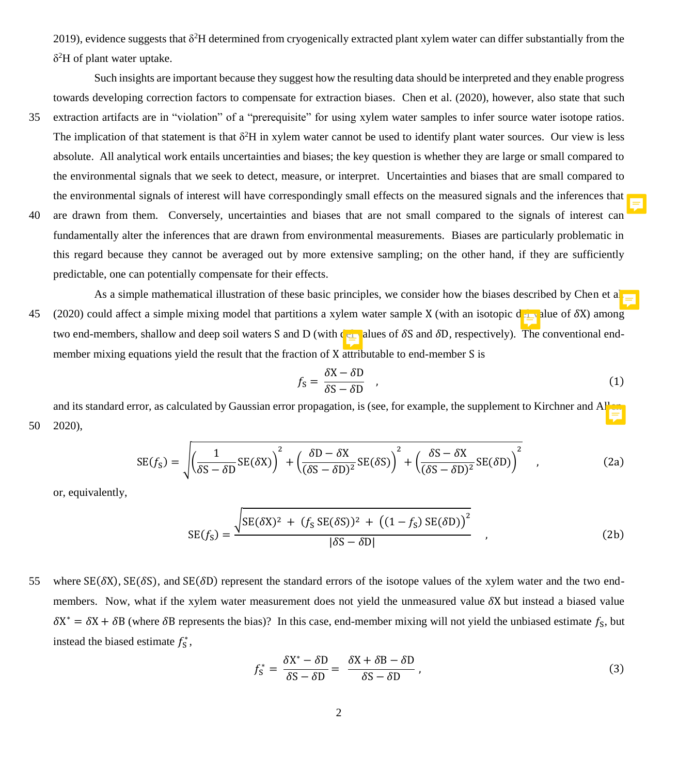2019), evidence suggests that  $\delta^2H$  determined from cryogenically extracted plant xylem water can differ substantially from the δ <sup>2</sup>H of plant water uptake.

Such insights are important because they suggest how the resulting data should be interpreted and they enable progress towards developing correction factors to compensate for extraction biases. Chen et al. (2020), however, also state that such

- 35 extraction artifacts are in "violation" of a "prerequisite" for using xylem water samples to infer source water isotope ratios. The implication of that statement is that  $\delta^2H$  in xylem water cannot be used to identify plant water sources. Our view is less absolute. All analytical work entails uncertainties and biases; the key question is whether they are large or small compared to the environmental signals that we seek to detect, measure, or interpret. Uncertainties and biases that are small compared to the environmental signals of interest will have correspondingly small effects on the measured signals and the inferences that
- 40 are drawn from them. Conversely, uncertainties and biases that are not small compared to the signals of interest can fundamentally alter the inferences that are drawn from environmental measurements. Biases are particularly problematic in this regard because they cannot be averaged out by more extensive sampling; on the other hand, if they are sufficiently predictable, one can potentially compensate for their effects.
- As a simple mathematical illustration of these basic principles, we consider how the biases described by Chen et a 45 (2020) could affect a simple mixing model that partitions a xylem water sample X (with an isotopic del value of  $\delta X$ ) among two end-members, shallow and deep soil waters S and D (with  $\epsilon_{\text{min}}$  alues of  $\delta S$  and  $\delta D$ , respectively). The conventional endmember mixing equations yield the result that the fraction of X attributable to end-member S is

$$
f_{\rm S} = \frac{\delta \rm X - \delta \rm D}{\delta \rm S - \delta \rm D} \tag{1}
$$

and its standard error, as calculated by Gaussian error propagation, is (see, for example, the supplement to Kirchner and Allen, 50 2020),

$$
SE(f_S) = \sqrt{\left(\frac{1}{\delta S - \delta D}SE(\delta X)\right)^2 + \left(\frac{\delta D - \delta X}{(\delta S - \delta D)^2}SE(\delta S)\right)^2 + \left(\frac{\delta S - \delta X}{(\delta S - \delta D)^2}SE(\delta D)\right)^2} \quad ,
$$
 (2a)

or, equivalently,

$$
SE(f_S) = \frac{\sqrt{SE(\delta X)^2 + (f_S SE(\delta S))^2 + ((1 - f_S) SE(\delta D))^2}}{|\delta S - \delta D|},
$$
\n(2b)

55 where  $SE(\delta X)$ ,  $SE(\delta S)$ , and  $SE(\delta D)$  represent the standard errors of the isotope values of the xylem water and the two endmembers. Now, what if the xylem water measurement does not yield the unmeasured value  $\delta X$  but instead a biased value  $\delta X^* = \delta X + \delta B$  (where  $\delta B$  represents the bias)? In this case, end-member mixing will not yield the unbiased estimate  $f_S$ , but instead the biased estimate  $f_s^*$ ,

$$
f_{\rm S}^* = \frac{\delta X^* - \delta D}{\delta S - \delta D} = \frac{\delta X + \delta B - \delta D}{\delta S - \delta D},\tag{3}
$$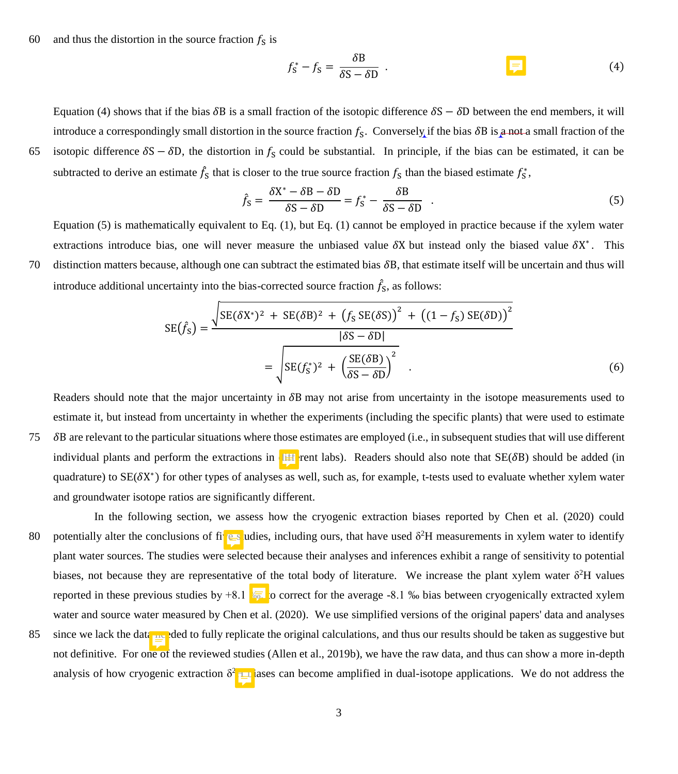60 and thus the distortion in the source fraction  $f_s$  is

$$
f_{\rm S}^* - f_{\rm S} = \frac{\delta \rm{B}}{\delta \rm{S} - \delta \rm{D}} \tag{4}
$$

Equation (4) shows that if the bias  $\delta B$  is a small fraction of the isotopic difference  $\delta S - \delta D$  between the end members, it will introduce a correspondingly small distortion in the source fraction  $f_s$ . Conversely if the bias  $\delta B$  is a not a small fraction of the 65 isotopic difference  $\delta S - \delta D$ , the distortion in  $f_S$  could be substantial. In principle, if the bias can be estimated, it can be subtracted to derive an estimate  $\hat{f}_s$  that is closer to the true source fraction  $f_s$  than the biased estimate  $f_s^*$ ,

$$
f_{\rm S} = \frac{\delta X^* - \delta B - \delta D}{\delta S - \delta D} = f_{\rm S}^* - \frac{\delta B}{\delta S - \delta D} \tag{5}
$$

Equation (5) is mathematically equivalent to Eq. (1), but Eq. (1) cannot be employed in practice because if the xylem water extractions introduce bias, one will never measure the unbiased value  $\delta X$  but instead only the biased value  $\delta X^*$ . This 70 distinction matters because, although one can subtract the estimated bias  $\delta B$ , that estimate itself will be uncertain and thus will introduce additional uncertainty into the bias-corrected source fraction  $\hat{f}_s$ , as follows:

$$
SE(f_S) = \frac{\sqrt{SE(\delta X^*)^2 + SE(\delta B)^2 + (f_S SE(\delta S))^2 + ((1 - f_S) SE(\delta D))^2}}{|\delta S - \delta D|}
$$
  
= 
$$
\sqrt{SE(f_S^*)^2 + (\frac{SE(\delta B)}{\delta S - \delta D})^2}
$$
(6)

Readers should note that the major uncertainty in  $\delta B$  may not arise from uncertainty in the isotope measurements used to estimate it, but instead from uncertainty in whether the experiments (including the specific plants) that were used to estimate 75 B are relevant to the particular situations where those estimates are employed (i.e., in subsequent studies that will use different individual plants and perform the extractions in  $\mathbf{H}$  rent labs). Readers should also note that  $SE(\delta B)$  should be added (in quadrature) to  $SE(\delta X^*)$  for other types of analyses as well, such as, for example, t-tests used to evaluate whether xylem water and groundwater isotope ratios are significantly different.

In the following section, we assess how the cryogenic extraction biases reported by Chen et al. (2020) could 80 potentially alter the conclusions of five dues, including ours, that have used  $\delta^2$ H measurements in xylem water to identify plant water sources. The studies were selected because their analyses and inferences exhibit a range of sensitivity to potential biases, not because they are representative of the total body of literature. We increase the plant xylem water  $\delta^2H$  values reported in these previous studies by +8.1  $\sqrt{6}$ , o correct for the average -8.1 % bias between cryogenically extracted xylem water and source water measured by Chen et al. (2020). We use simplified versions of the original papers' data and analyses 85 since we lack the data needed to fully replicate the original calculations, and thus our results should be taken as suggestive but not definitive. For one of the reviewed studies (Allen et al., 2019b), we have the raw data, and thus can show a more in-depth analysis of how cryogenic extraction  $\delta^2$   $\Box$  ases can become amplified in dual-isotope applications. We do not address the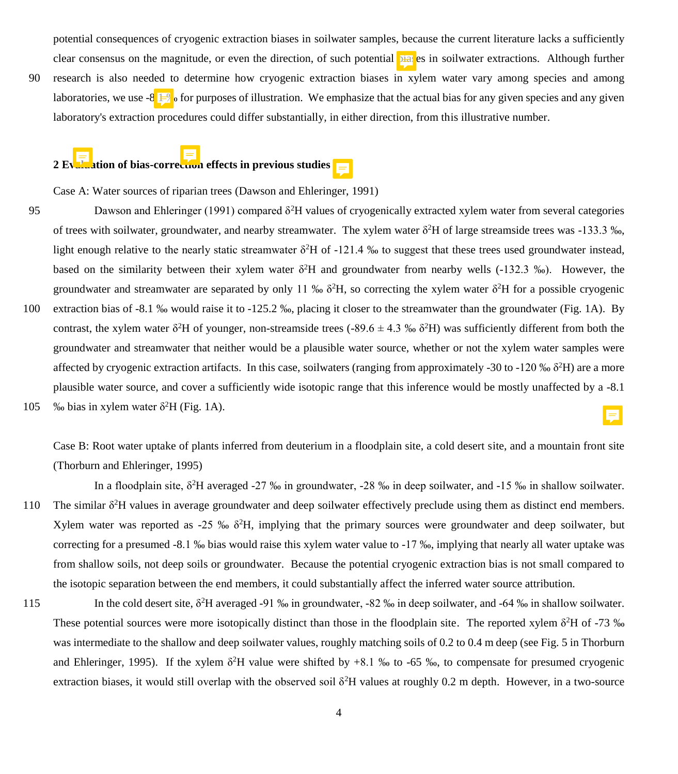potential consequences of cryogenic extraction biases in soilwater samples, because the current literature lacks a sufficiently clear consensus on the magnitude, or even the direction, of such potential **biat** es in soilwater extractions. Although further

90 research is also needed to determine how cryogenic extraction biases in xylem water vary among species and among laboratories, we use -8.<sup>1</sup>  $\mathbb{F}_{\mathbb{Q}}$  for purposes of illustration. We emphasize that the actual bias for any given species and any given laboratory's extraction procedures could differ substantially, in either direction, from this illustrative number.

# 2 Evaluation of bias-correction effects in previous studies  $\mathbf{r}$

Case A: Water sources of riparian trees (Dawson and Ehleringer, 1991)

- 95 Dawson and Ehleringer (1991) compared  $\delta^2$ H values of cryogenically extracted xylem water from several categories of trees with soilwater, groundwater, and nearby streamwater. The xylem water  $\delta^2H$  of large streamside trees was -133.3 ‰, light enough relative to the nearly static streamwater  $\delta^2$ H of -121.4 ‰ to suggest that these trees used groundwater instead, based on the similarity between their xylem water  $\delta^2H$  and groundwater from nearby wells (-132.3 ‰). However, the groundwater and streamwater are separated by only 11 ‰  $\delta^2$ H, so correcting the xylem water  $\delta^2$ H for a possible cryogenic
- 100 extraction bias of -8.1 ‰ would raise it to -125.2 ‰, placing it closer to the streamwater than the groundwater (Fig. 1A). By contrast, the xylem water  $\delta^2$ H of younger, non-streamside trees (-89.6  $\pm$  4.3 ‰  $\delta^2$ H) was sufficiently different from both the groundwater and streamwater that neither would be a plausible water source, whether or not the xylem water samples were affected by cryogenic extraction artifacts. In this case, soilwaters (ranging from approximately -30 to -120 ‰  $\delta^2H$ ) are a more plausible water source, and cover a sufficiently wide isotopic range that this inference would be mostly unaffected by a -8.1 105 % bias in xylem water  $\delta^2$ H (Fig. 1A).

Case B: Root water uptake of plants inferred from deuterium in a floodplain site, a cold desert site, and a mountain front site (Thorburn and Ehleringer, 1995)

In a floodplain site, δ<sup>2</sup>H averaged -27 ‰ in groundwater, -28 ‰ in deep soilwater, and -15 ‰ in shallow soilwater. 110 The similar  $\delta^2$ H values in average groundwater and deep soilwater effectively preclude using them as distinct end members. Xylem water was reported as -25 ‰  $\delta^2 H$ , implying that the primary sources were groundwater and deep soilwater, but correcting for a presumed -8.1 ‰ bias would raise this xylem water value to -17 ‰, implying that nearly all water uptake was from shallow soils, not deep soils or groundwater. Because the potential cryogenic extraction bias is not small compared to the isotopic separation between the end members, it could substantially affect the inferred water source attribution.

115 In the cold desert site,  $\delta^2H$  averaged -91 ‰ in groundwater, -82 ‰ in deep soilwater, and -64 ‰ in shallow soilwater. These potential sources were more isotopically distinct than those in the floodplain site. The reported xylem  $\delta^2$ H of -73 ‰ was intermediate to the shallow and deep soilwater values, roughly matching soils of 0.2 to 0.4 m deep (see Fig. 5 in Thorburn and Ehleringer, 1995). If the xylem  $\delta^2H$  value were shifted by +8.1 % to -65 %, to compensate for presumed cryogenic extraction biases, it would still overlap with the observed soil  $\delta^2$ H values at roughly 0.2 m depth. However, in a two-source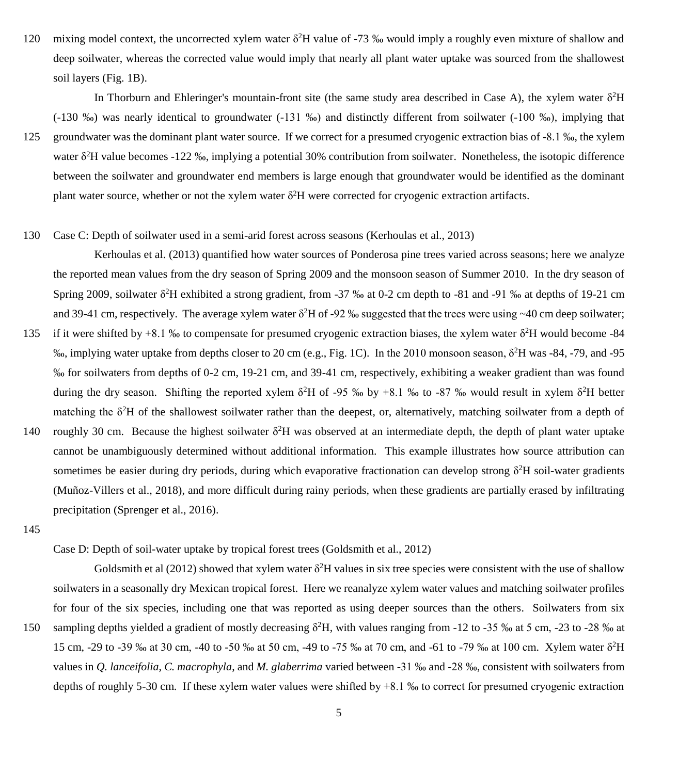120 mixing model context, the uncorrected xylem water  $\delta^2$ H value of -73 ‰ would imply a roughly even mixture of shallow and deep soilwater, whereas the corrected value would imply that nearly all plant water uptake was sourced from the shallowest soil layers (Fig. 1B).

In Thorburn and Ehleringer's mountain-front site (the same study area described in Case A), the xylem water  $\delta^2H$ (-130 ‰) was nearly identical to groundwater (-131 ‰) and distinctly different from soilwater (-100 ‰), implying that

- 125 groundwater was the dominant plant water source. If we correct for a presumed cryogenic extraction bias of -8.1 ‰, the xylem water δ<sup>2</sup>H value becomes -122 ‰, implying a potential 30% contribution from soilwater. Nonetheless, the isotopic difference between the soilwater and groundwater end members is large enough that groundwater would be identified as the dominant plant water source, whether or not the xylem water δ <sup>2</sup>H were corrected for cryogenic extraction artifacts.
- 130 Case C: Depth of soilwater used in a semi-arid forest across seasons (Kerhoulas et al., 2013)

Kerhoulas et al. (2013) quantified how water sources of Ponderosa pine trees varied across seasons; here we analyze the reported mean values from the dry season of Spring 2009 and the monsoon season of Summer 2010. In the dry season of Spring 2009, soilwater  $\delta^2$ H exhibited a strong gradient, from -37 ‰ at 0-2 cm depth to -81 and -91 ‰ at depths of 19-21 cm and 39-41 cm, respectively. The average xylem water  $\delta^2 H$  of -92 ‰ suggested that the trees were using ~40 cm deep soilwater; 135 if it were shifted by +8.1 % to compensate for presumed cryogenic extraction biases, the xylem water  $\delta^2$ H would become -84

- ‰, implying water uptake from depths closer to 20 cm (e.g., Fig. 1C). In the 2010 monsoon season, δ<sup>2</sup>H was -84, -79, and -95 ‰ for soilwaters from depths of 0-2 cm, 19-21 cm, and 39-41 cm, respectively, exhibiting a weaker gradient than was found during the dry season. Shifting the reported xylem  $\delta^2$ H of -95 ‰ by +8.1 ‰ to -87 ‰ would result in xylem  $\delta^2$ H better matching the  $\delta^2$ H of the shallowest soilwater rather than the deepest, or, alternatively, matching soilwater from a depth of
- 140 roughly 30 cm. Because the highest soilwater  $\delta^2$ H was observed at an intermediate depth, the depth of plant water uptake cannot be unambiguously determined without additional information. This example illustrates how source attribution can sometimes be easier during dry periods, during which evaporative fractionation can develop strong δ<sup>2</sup>H soil-water gradients (Muñoz-Villers et al., 2018), and more difficult during rainy periods, when these gradients are partially erased by infiltrating precipitation (Sprenger et al., 2016).
- 145

Case D: Depth of soil-water uptake by tropical forest trees (Goldsmith et al., 2012)

Goldsmith et al (2012) showed that xylem water  $\delta^2H$  values in six tree species were consistent with the use of shallow soilwaters in a seasonally dry Mexican tropical forest. Here we reanalyze xylem water values and matching soilwater profiles for four of the six species, including one that was reported as using deeper sources than the others. Soilwaters from six

150 sampling depths yielded a gradient of mostly decreasing  $\delta^2H$ , with values ranging from -12 to -35 ‰ at 5 cm, -23 to -28 ‰ at 15 cm, -29 to -39 ‰ at 30 cm, -40 to -50 ‰ at 50 cm, -49 to -75 ‰ at 70 cm, and -61 to -79 ‰ at 100 cm. Xylem water δ 2H values in *Q. lanceifolia*, *C. macrophyla*, and *M. glaberrima* varied between -31 ‰ and -28 ‰, consistent with soilwaters from depths of roughly 5-30 cm. If these xylem water values were shifted by +8.1 ‰ to correct for presumed cryogenic extraction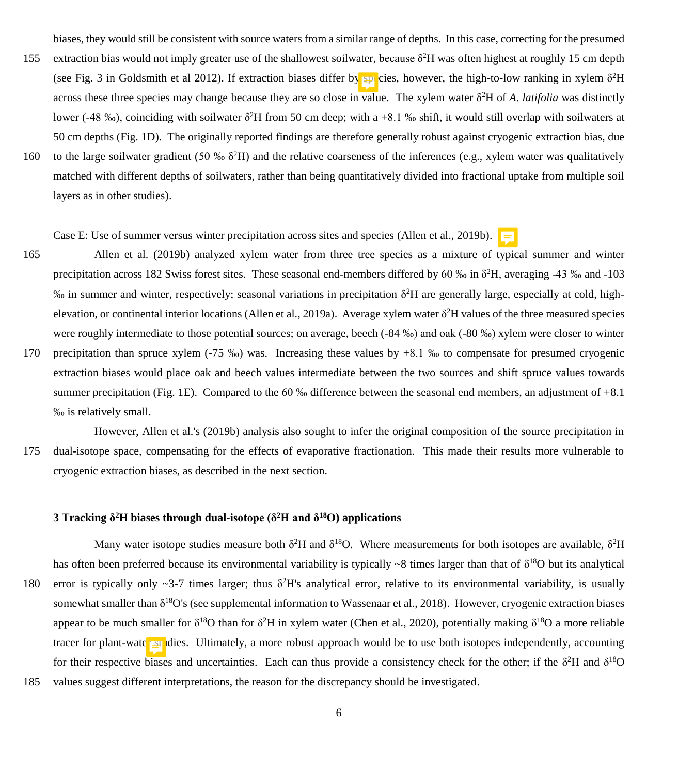biases, they would still be consistent with source waters from a similar range of depths. In this case, correcting for the presumed

- 155 extraction bias would not imply greater use of the shallowest soilwater, because  $\delta^2 H$  was often highest at roughly 15 cm depth (see Fig. 3 in Goldsmith et al 2012). If extraction biases differ by  $\wp$  cies, however, the high-to-low ranking in xylem  $\delta^2H$ across these three species may change because they are so close in value. The xylem water δ <sup>2</sup>H of *A*. *latifolia* was distinctly lower (-48 ‰), coinciding with soilwater  $\delta^2H$  from 50 cm deep; with a +8.1 ‰ shift, it would still overlap with soilwaters at 50 cm depths (Fig. 1D). The originally reported findings are therefore generally robust against cryogenic extraction bias, due
- 160 to the large soilwater gradient (50 ‰  $\delta^2$ H) and the relative coarseness of the inferences (e.g., xylem water was qualitatively matched with different depths of soilwaters, rather than being quantitatively divided into fractional uptake from multiple soil layers as in other studies).

Case E: Use of summer versus winter precipitation across sites and species (Allen et al., 2019b).  $\blacksquare$ 

- 165 Allen et al. (2019b) analyzed xylem water from three tree species as a mixture of typical summer and winter precipitation across 182 Swiss forest sites. These seasonal end-members differed by 60 ‰ in  $\delta^2$ H, averaging -43 ‰ and -103 ‰ in summer and winter, respectively; seasonal variations in precipitation δ 2H are generally large, especially at cold, highelevation, or continental interior locations (Allen et al., 2019a). Average xylem water  $\delta^2H$  values of the three measured species were roughly intermediate to those potential sources; on average, beech (-84 ‰) and oak (-80 ‰) xylem were closer to winter
- 170 precipitation than spruce xylem (-75 ‰) was. Increasing these values by  $+8.1$  ‰ to compensate for presumed cryogenic extraction biases would place oak and beech values intermediate between the two sources and shift spruce values towards summer precipitation (Fig. 1E). Compared to the 60 ‰ difference between the seasonal end members, an adjustment of +8.1 ‰ is relatively small.

However, Allen et al.'s (2019b) analysis also sought to infer the original composition of the source precipitation in 175 dual-isotope space, compensating for the effects of evaporative fractionation. This made their results more vulnerable to cryogenic extraction biases, as described in the next section.

# **3 Tracking δ <sup>2</sup>H biases through dual-isotope (δ<sup>2</sup>H and δ<sup>18</sup>O) applications**

Many water isotope studies measure both  $\delta^2H$  and  $\delta^{18}O$ . Where measurements for both isotopes are available,  $\delta^2H$ has often been preferred because its environmental variability is typically  $\sim 8$  times larger than that of  $\delta^{18}O$  but its analytical 180 error is typically only ~3-7 times larger; thus  $\delta^2 H$ 's analytical error, relative to its environmental variability, is usually somewhat smaller than  $\delta^{18}O$ 's (see supplemental information to Wassenaar et al., 2018). However, cryogenic extraction biases appear to be much smaller for  $\delta^{18}O$  than for  $\delta^2H$  in xylem water (Chen et al., 2020), potentially making  $\delta^{18}O$  a more reliable tracer for plant-water studies. Ultimately, a more robust approach would be to use both isotopes independently, accounting for their respective biases and uncertainties. Each can thus provide a consistency check for the other; if the  $\delta^2H$  and  $\delta^{18}O$ 185 values suggest different interpretations, the reason for the discrepancy should be investigated.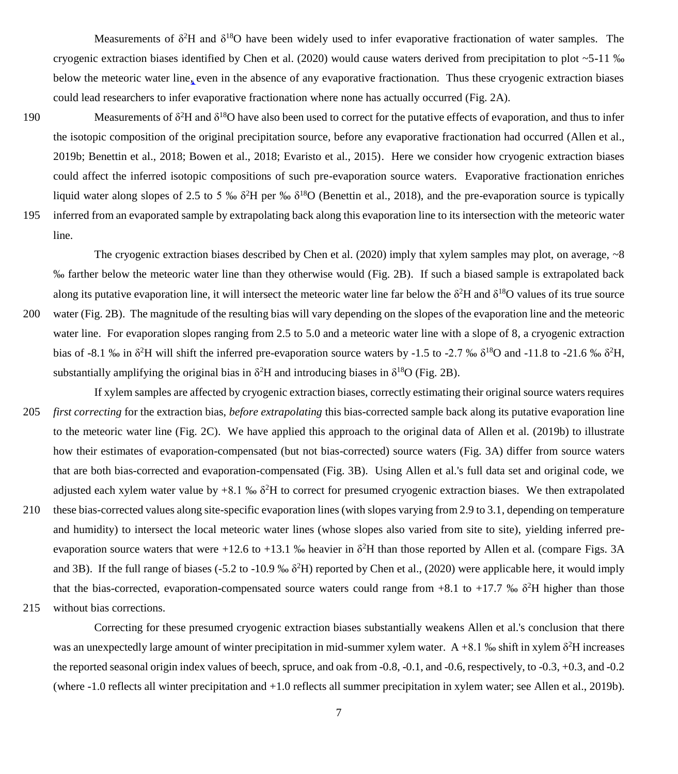Measurements of  $\delta^2$ H and  $\delta^{18}$ O have been widely used to infer evaporative fractionation of water samples. The cryogenic extraction biases identified by Chen et al. (2020) would cause waters derived from precipitation to plot  $\sim$  5-11 ‰ below the meteoric water line, even in the absence of any evaporative fractionation. Thus these cryogenic extraction biases could lead researchers to infer evaporative fractionation where none has actually occurred (Fig. 2A).

190 Measurements of  $\delta^2H$  and  $\delta^{18}O$  have also been used to correct for the putative effects of evaporation, and thus to infer the isotopic composition of the original precipitation source, before any evaporative fractionation had occurred (Allen et al., 2019b; Benettin et al., 2018; Bowen et al., 2018; Evaristo et al., 2015). Here we consider how cryogenic extraction biases could affect the inferred isotopic compositions of such pre-evaporation source waters. Evaporative fractionation enriches liquid water along slopes of 2.5 to 5 ‰  $\delta^2H$  per ‰  $\delta^{18}O$  (Benettin et al., 2018), and the pre-evaporation source is typically 195 inferred from an evaporated sample by extrapolating back along this evaporation line to its intersection with the meteoric water line.

The cryogenic extraction biases described by Chen et al. (2020) imply that xylem samples may plot, on average,  $\sim 8$ ‰ farther below the meteoric water line than they otherwise would (Fig. 2B). If such a biased sample is extrapolated back along its putative evaporation line, it will intersect the meteoric water line far below the  $\delta^2H$  and  $\delta^{18}O$  values of its true source 200 water (Fig. 2B). The magnitude of the resulting bias will vary depending on the slopes of the evaporation line and the meteoric water line. For evaporation slopes ranging from 2.5 to 5.0 and a meteoric water line with a slope of 8, a cryogenic extraction bias of -8.1 % in  $\delta^2$ H will shift the inferred pre-evaporation source waters by -1.5 to -2.7 %  $\delta^{18}$ O and -11.8 to -21.6 %  $\delta^2$ H, substantially amplifying the original bias in  $\delta^2$ H and introducing biases in  $\delta^{18}$ O (Fig. 2B).

If xylem samples are affected by cryogenic extraction biases, correctly estimating their original source waters requires 205 *first correcting* for the extraction bias, *before extrapolating* this bias-corrected sample back along its putative evaporation line to the meteoric water line (Fig. 2C). We have applied this approach to the original data of Allen et al. (2019b) to illustrate how their estimates of evaporation-compensated (but not bias-corrected) source waters (Fig. 3A) differ from source waters that are both bias-corrected and evaporation-compensated (Fig. 3B). Using Allen et al.'s full data set and original code, we adjusted each xylem water value by  $+8.1\%$   $\delta^2$ H to correct for presumed cryogenic extraction biases. We then extrapolated

- 210 these bias-corrected values along site-specific evaporation lines (with slopes varying from 2.9 to 3.1, depending on temperature and humidity) to intersect the local meteoric water lines (whose slopes also varied from site to site), yielding inferred preevaporation source waters that were  $+12.6$  to  $+13.1$  % heavier in  $\delta^2$ H than those reported by Allen et al. (compare Figs. 3A and 3B). If the full range of biases (-5.2 to -10.9 ‰ δ<sup>2</sup>H) reported by Chen et al., (2020) were applicable here, it would imply that the bias-corrected, evaporation-compensated source waters could range from  $+8.1$  to  $+17.7$  %  $\delta^2$ H higher than those
- 215 without bias corrections.

Correcting for these presumed cryogenic extraction biases substantially weakens Allen et al.'s conclusion that there was an unexpectedly large amount of winter precipitation in mid-summer xylem water.  $A + 8.1$  ‰ shift in xylem  $\delta^2 H$  increases the reported seasonal origin index values of beech, spruce, and oak from -0.8, -0.1, and -0.6, respectively, to -0.3, +0.3, and -0.2 (where -1.0 reflects all winter precipitation and +1.0 reflects all summer precipitation in xylem water; see Allen et al., 2019b).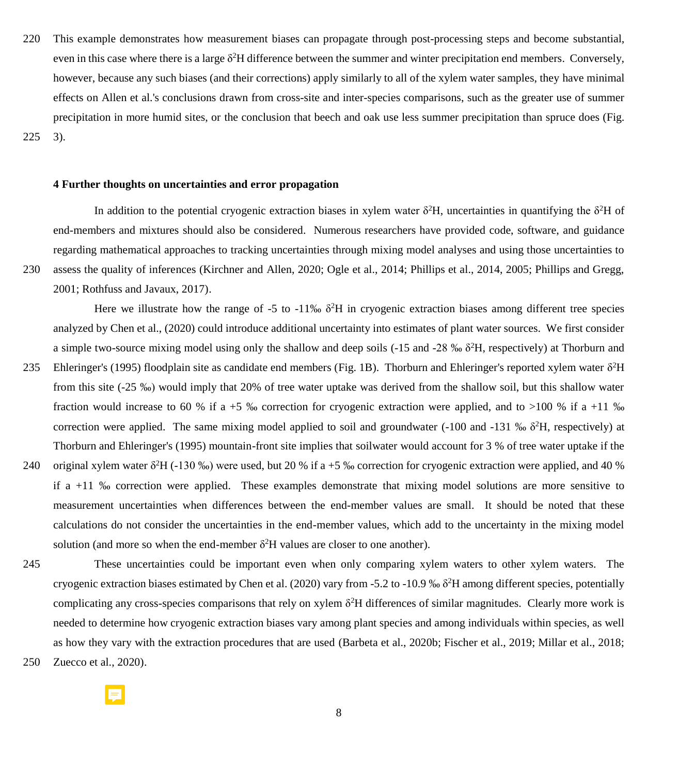220 This example demonstrates how measurement biases can propagate through post-processing steps and become substantial, even in this case where there is a large  $\delta^2 H$  difference between the summer and winter precipitation end members. Conversely, however, because any such biases (and their corrections) apply similarly to all of the xylem water samples, they have minimal effects on Allen et al.'s conclusions drawn from cross-site and inter-species comparisons, such as the greater use of summer precipitation in more humid sites, or the conclusion that beech and oak use less summer precipitation than spruce does (Fig. 225 3).

## **4 Further thoughts on uncertainties and error propagation**

In addition to the potential cryogenic extraction biases in xylem water  $\delta^2$ H, uncertainties in quantifying the  $\delta^2$ H of end-members and mixtures should also be considered. Numerous researchers have provided code, software, and guidance regarding mathematical approaches to tracking uncertainties through mixing model analyses and using those uncertainties to 230 assess the quality of inferences (Kirchner and Allen, 2020; Ogle et al., 2014; Phillips et al., 2014, 2005; Phillips and Gregg,

2001; Rothfuss and Javaux, 2017).

Here we illustrate how the range of  $-5$  to  $-11\%$   $\delta^2H$  in cryogenic extraction biases among different tree species analyzed by Chen et al., (2020) could introduce additional uncertainty into estimates of plant water sources. We first consider a simple two-source mixing model using only the shallow and deep soils  $(-15 \text{ and } -28 \text{ % } \delta^2 H)$ , respectively) at Thorburn and

- 235 Ehleringer's (1995) floodplain site as candidate end members (Fig. 1B). Thorburn and Ehleringer's reported xylem water  $\delta^2$ H from this site (-25 ‰) would imply that 20% of tree water uptake was derived from the shallow soil, but this shallow water fraction would increase to 60 % if a +5 % correction for cryogenic extraction were applied, and to >100 % if a +11 % correction were applied. The same mixing model applied to soil and groundwater  $(-100$  and  $-131$  ‰  $\delta^2$ H, respectively) at Thorburn and Ehleringer's (1995) mountain-front site implies that soilwater would account for 3 % of tree water uptake if the
- 240 original xylem water  $\delta^2$ H (-130 %) were used, but 20 % if a +5 % correction for cryogenic extraction were applied, and 40 % if a +11 ‰ correction were applied. These examples demonstrate that mixing model solutions are more sensitive to measurement uncertainties when differences between the end-member values are small. It should be noted that these calculations do not consider the uncertainties in the end-member values, which add to the uncertainty in the mixing model solution (and more so when the end-member  $\delta^2$ H values are closer to one another).
- 

245 These uncertainties could be important even when only comparing xylem waters to other xylem waters. The cryogenic extraction biases estimated by Chen et al. (2020) vary from -5.2 to -10.9 %  $\delta^2H$  among different species, potentially complicating any cross-species comparisons that rely on xylem  $\delta^2 H$  differences of similar magnitudes. Clearly more work is needed to determine how cryogenic extraction biases vary among plant species and among individuals within species, as well as how they vary with the extraction procedures that are used (Barbeta et al., 2020b; Fischer et al., 2019; Millar et al., 2018; 250 Zuecco et al., 2020).

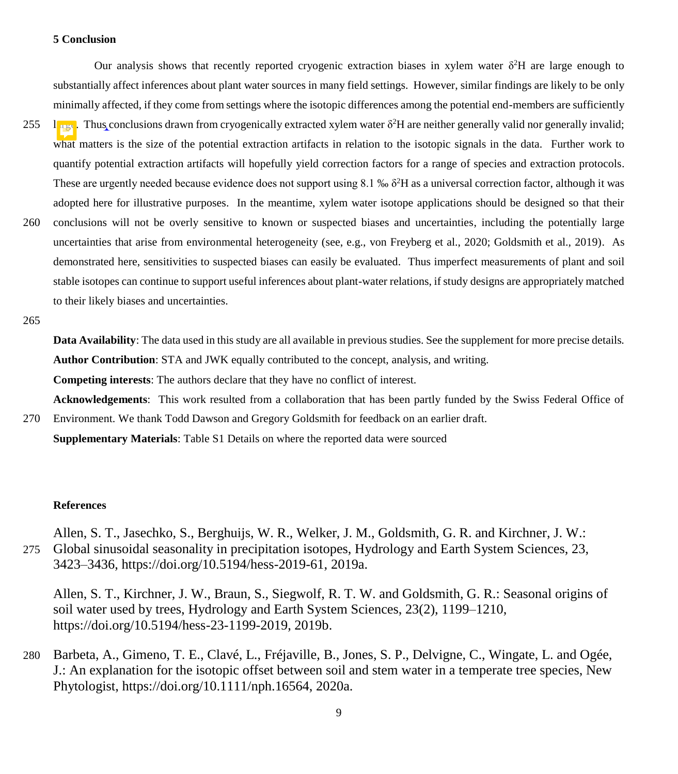# **5 Conclusion**

Our analysis shows that recently reported cryogenic extraction biases in xylem water  $\delta^2H$  are large enough to substantially affect inferences about plant water sources in many field settings. However, similar findings are likely to be only minimally affected, if they come from settings where the isotopic differences among the potential end-members are sufficiently 255  $\frac{1}{\sqrt{1-\frac{1}{\sqrt{1-\frac{1}{\sqrt{1-\frac{1}{\sqrt{1-\frac{1}{\sqrt{1-\frac{1}{\sqrt{1-\frac{1}{\sqrt{1-\frac{1}{\sqrt{1-\frac{1}{\sqrt{1-\frac{1}{\sqrt{1-\frac{1}{\sqrt{1-\frac{1}{\sqrt{1-\frac{1}{\sqrt{1-\frac{1}{\sqrt{1-\frac{1}{\sqrt{1-\frac{1}{\sqrt{1-\frac{1}{\sqrt{1-\frac{1}{\sqrt{1-\frac{1}{\sqrt{1-\frac{1}{\sqrt{1-\frac{1}{\sqrt{1-\frac{1}{\sqrt{1-\frac{1}{\sqrt{1-\frac{1}{\sqrt{1$ what matters is the size of the potential extraction artifacts in relation to the isotopic signals in the data. Further work to quantify potential extraction artifacts will hopefully yield correction factors for a range of species and extraction protocols. These are urgently needed because evidence does not support using 8.1 ‰ δ <sup>2</sup>H as a universal correction factor, although it was adopted here for illustrative purposes. In the meantime, xylem water isotope applications should be designed so that their 260 conclusions will not be overly sensitive to known or suspected biases and uncertainties, including the potentially large uncertainties that arise from environmental heterogeneity (see, e.g., von Freyberg et al., 2020; Goldsmith et al., 2019). As demonstrated here, sensitivities to suspected biases can easily be evaluated. Thus imperfect measurements of plant and soil stable isotopes can continue to support useful inferences about plant-water relations, if study designs are appropriately matched to their likely biases and uncertainties.

265

**Data Availability**: The data used in this study are all available in previous studies. See the supplement for more precise details. **Author Contribution**: STA and JWK equally contributed to the concept, analysis, and writing.

**Competing interests**: The authors declare that they have no conflict of interest.

**Acknowledgements**: This work resulted from a collaboration that has been partly funded by the Swiss Federal Office of

270 Environment. We thank Todd Dawson and Gregory Goldsmith for feedback on an earlier draft. **Supplementary Materials**: Table S1 Details on where the reported data were sourced

### **References**

Allen, S. T., Jasechko, S., Berghuijs, W. R., Welker, J. M., Goldsmith, G. R. and Kirchner, J. W.: 275 Global sinusoidal seasonality in precipitation isotopes, Hydrology and Earth System Sciences, 23, 3423–3436, https://doi.org/10.5194/hess-2019-61, 2019a.

Allen, S. T., Kirchner, J. W., Braun, S., Siegwolf, R. T. W. and Goldsmith, G. R.: Seasonal origins of soil water used by trees, Hydrology and Earth System Sciences, 23(2), 1199–1210, https://doi.org/10.5194/hess-23-1199-2019, 2019b.

280 Barbeta, A., Gimeno, T. E., Clavé, L., Fréjaville, B., Jones, S. P., Delvigne, C., Wingate, L. and Ogée, J.: An explanation for the isotopic offset between soil and stem water in a temperate tree species, New Phytologist, https://doi.org/10.1111/nph.16564, 2020a.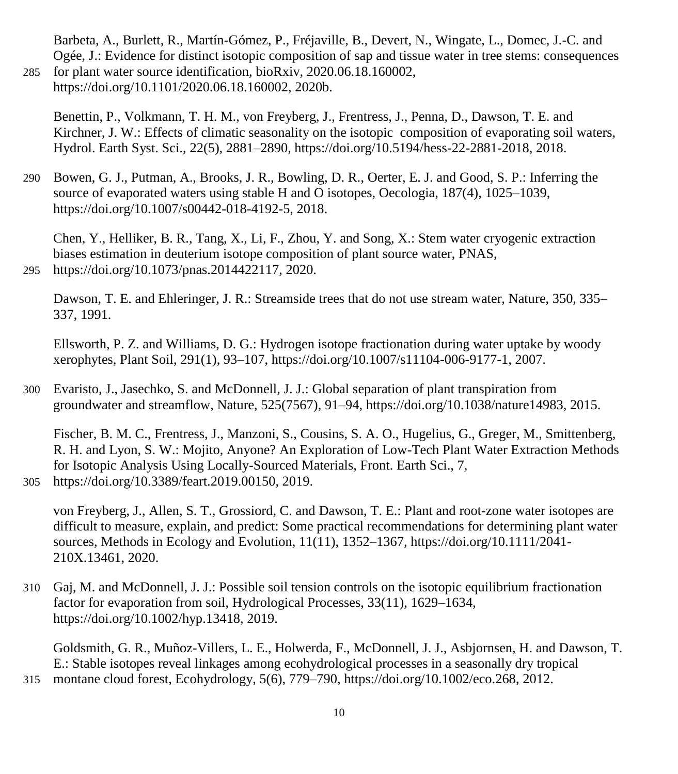Barbeta, A., Burlett, R., Martín-Gómez, P., Fréjaville, B., Devert, N., Wingate, L., Domec, J.-C. and Ogée, J.: Evidence for distinct isotopic composition of sap and tissue water in tree stems: consequences 285 for plant water source identification, bioRxiv, 2020.06.18.160002,

https://doi.org/10.1101/2020.06.18.160002, 2020b.

Benettin, P., Volkmann, T. H. M., von Freyberg, J., Frentress, J., Penna, D., Dawson, T. E. and Kirchner, J. W.: Effects of climatic seasonality on the isotopic composition of evaporating soil waters, Hydrol. Earth Syst. Sci., 22(5), 2881–2890, https://doi.org/10.5194/hess-22-2881-2018, 2018.

290 Bowen, G. J., Putman, A., Brooks, J. R., Bowling, D. R., Oerter, E. J. and Good, S. P.: Inferring the source of evaporated waters using stable H and O isotopes, Oecologia, 187(4), 1025–1039, https://doi.org/10.1007/s00442-018-4192-5, 2018.

Chen, Y., Helliker, B. R., Tang, X., Li, F., Zhou, Y. and Song, X.: Stem water cryogenic extraction biases estimation in deuterium isotope composition of plant source water, PNAS, 295 https://doi.org/10.1073/pnas.2014422117, 2020.

Dawson, T. E. and Ehleringer, J. R.: Streamside trees that do not use stream water, Nature, 350, 335– 337, 1991.

Ellsworth, P. Z. and Williams, D. G.: Hydrogen isotope fractionation during water uptake by woody xerophytes, Plant Soil, 291(1), 93–107, https://doi.org/10.1007/s11104-006-9177-1, 2007.

300 Evaristo, J., Jasechko, S. and McDonnell, J. J.: Global separation of plant transpiration from groundwater and streamflow, Nature, 525(7567), 91–94, https://doi.org/10.1038/nature14983, 2015.

Fischer, B. M. C., Frentress, J., Manzoni, S., Cousins, S. A. O., Hugelius, G., Greger, M., Smittenberg, R. H. and Lyon, S. W.: Mojito, Anyone? An Exploration of Low-Tech Plant Water Extraction Methods for Isotopic Analysis Using Locally-Sourced Materials, Front. Earth Sci., 7, 305 https://doi.org/10.3389/feart.2019.00150, 2019.

von Freyberg, J., Allen, S. T., Grossiord, C. and Dawson, T. E.: Plant and root-zone water isotopes are difficult to measure, explain, and predict: Some practical recommendations for determining plant water sources, Methods in Ecology and Evolution, 11(11), 1352–1367, https://doi.org/10.1111/2041- 210X.13461, 2020.

310 Gaj, M. and McDonnell, J. J.: Possible soil tension controls on the isotopic equilibrium fractionation factor for evaporation from soil, Hydrological Processes, 33(11), 1629–1634, https://doi.org/10.1002/hyp.13418, 2019.

Goldsmith, G. R., Muñoz-Villers, L. E., Holwerda, F., McDonnell, J. J., Asbjornsen, H. and Dawson, T. E.: Stable isotopes reveal linkages among ecohydrological processes in a seasonally dry tropical 315 montane cloud forest, Ecohydrology, 5(6), 779–790, https://doi.org/10.1002/eco.268, 2012.

10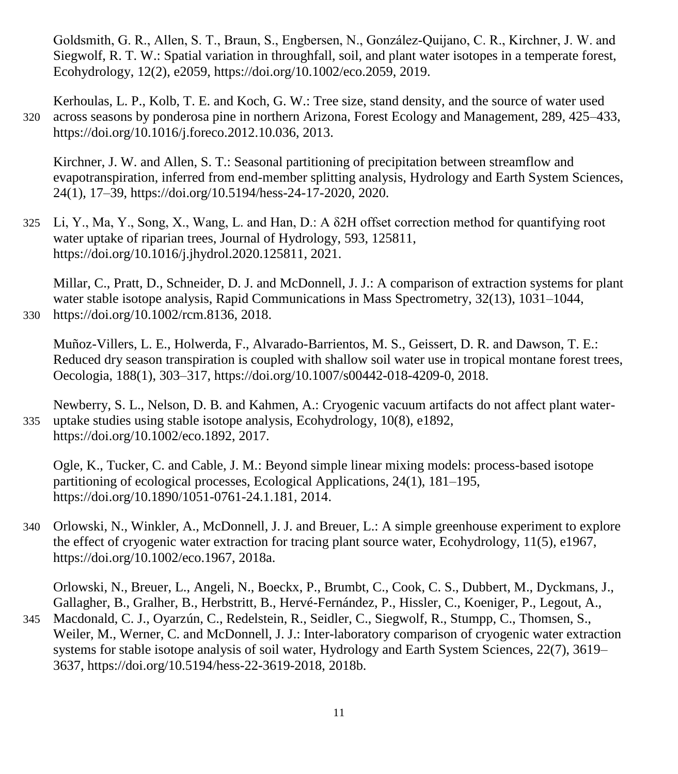Goldsmith, G. R., Allen, S. T., Braun, S., Engbersen, N., González‐Quijano, C. R., Kirchner, J. W. and Siegwolf, R. T. W.: Spatial variation in throughfall, soil, and plant water isotopes in a temperate forest, Ecohydrology, 12(2), e2059, https://doi.org/10.1002/eco.2059, 2019.

Kerhoulas, L. P., Kolb, T. E. and Koch, G. W.: Tree size, stand density, and the source of water used 320 across seasons by ponderosa pine in northern Arizona, Forest Ecology and Management, 289, 425–433, https://doi.org/10.1016/j.foreco.2012.10.036, 2013.

Kirchner, J. W. and Allen, S. T.: Seasonal partitioning of precipitation between streamflow and evapotranspiration, inferred from end-member splitting analysis, Hydrology and Earth System Sciences, 24(1), 17–39, https://doi.org/10.5194/hess-24-17-2020, 2020.

325 Li, Y., Ma, Y., Song, X., Wang, L. and Han, D.: A δ2H offset correction method for quantifying root water uptake of riparian trees, Journal of Hydrology, 593, 125811, https://doi.org/10.1016/j.jhydrol.2020.125811, 2021.

Millar, C., Pratt, D., Schneider, D. J. and McDonnell, J. J.: A comparison of extraction systems for plant water stable isotope analysis, Rapid Communications in Mass Spectrometry, 32(13), 1031–1044, 330 https://doi.org/10.1002/rcm.8136, 2018.

Muñoz-Villers, L. E., Holwerda, F., Alvarado-Barrientos, M. S., Geissert, D. R. and Dawson, T. E.: Reduced dry season transpiration is coupled with shallow soil water use in tropical montane forest trees, Oecologia, 188(1), 303–317, https://doi.org/10.1007/s00442-018-4209-0, 2018.

Newberry, S. L., Nelson, D. B. and Kahmen, A.: Cryogenic vacuum artifacts do not affect plant water-335 uptake studies using stable isotope analysis, Ecohydrology, 10(8), e1892, https://doi.org/10.1002/eco.1892, 2017.

Ogle, K., Tucker, C. and Cable, J. M.: Beyond simple linear mixing models: process-based isotope partitioning of ecological processes, Ecological Applications, 24(1), 181–195, https://doi.org/10.1890/1051-0761-24.1.181, 2014.

340 Orlowski, N., Winkler, A., McDonnell, J. J. and Breuer, L.: A simple greenhouse experiment to explore the effect of cryogenic water extraction for tracing plant source water, Ecohydrology, 11(5), e1967, https://doi.org/10.1002/eco.1967, 2018a.

Orlowski, N., Breuer, L., Angeli, N., Boeckx, P., Brumbt, C., Cook, C. S., Dubbert, M., Dyckmans, J., Gallagher, B., Gralher, B., Herbstritt, B., Hervé-Fernández, P., Hissler, C., Koeniger, P., Legout, A.,

345 Macdonald, C. J., Oyarzún, C., Redelstein, R., Seidler, C., Siegwolf, R., Stumpp, C., Thomsen, S., Weiler, M., Werner, C. and McDonnell, J. J.: Inter-laboratory comparison of cryogenic water extraction systems for stable isotope analysis of soil water, Hydrology and Earth System Sciences, 22(7), 3619– 3637, https://doi.org/10.5194/hess-22-3619-2018, 2018b.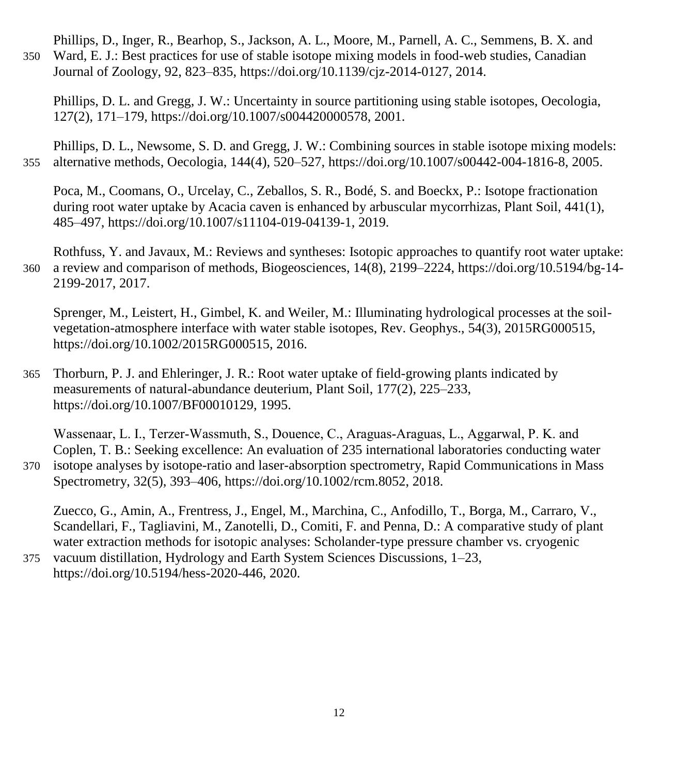Phillips, D., Inger, R., Bearhop, S., Jackson, A. L., Moore, M., Parnell, A. C., Semmens, B. X. and 350 Ward, E. J.: Best practices for use of stable isotope mixing models in food-web studies, Canadian Journal of Zoology, 92, 823–835, https://doi.org/10.1139/cjz-2014-0127, 2014.

Phillips, D. L. and Gregg, J. W.: Uncertainty in source partitioning using stable isotopes, Oecologia, 127(2), 171–179, https://doi.org/10.1007/s004420000578, 2001.

Phillips, D. L., Newsome, S. D. and Gregg, J. W.: Combining sources in stable isotope mixing models: 355 alternative methods, Oecologia, 144(4), 520–527, https://doi.org/10.1007/s00442-004-1816-8, 2005.

Poca, M., Coomans, O., Urcelay, C., Zeballos, S. R., Bodé, S. and Boeckx, P.: Isotope fractionation during root water uptake by Acacia caven is enhanced by arbuscular mycorrhizas, Plant Soil, 441(1), 485–497, https://doi.org/10.1007/s11104-019-04139-1, 2019.

Rothfuss, Y. and Javaux, M.: Reviews and syntheses: Isotopic approaches to quantify root water uptake: 360 a review and comparison of methods, Biogeosciences, 14(8), 2199–2224, https://doi.org/10.5194/bg-14- 2199-2017, 2017.

Sprenger, M., Leistert, H., Gimbel, K. and Weiler, M.: Illuminating hydrological processes at the soilvegetation-atmosphere interface with water stable isotopes, Rev. Geophys., 54(3), 2015RG000515, https://doi.org/10.1002/2015RG000515, 2016.

365 Thorburn, P. J. and Ehleringer, J. R.: Root water uptake of field-growing plants indicated by measurements of natural-abundance deuterium, Plant Soil, 177(2), 225–233, https://doi.org/10.1007/BF00010129, 1995.

Wassenaar, L. I., Terzer‐Wassmuth, S., Douence, C., Araguas‐Araguas, L., Aggarwal, P. K. and Coplen, T. B.: Seeking excellence: An evaluation of 235 international laboratories conducting water 370 isotope analyses by isotope-ratio and laser-absorption spectrometry, Rapid Communications in Mass Spectrometry, 32(5), 393–406, https://doi.org/10.1002/rcm.8052, 2018.

Zuecco, G., Amin, A., Frentress, J., Engel, M., Marchina, C., Anfodillo, T., Borga, M., Carraro, V., Scandellari, F., Tagliavini, M., Zanotelli, D., Comiti, F. and Penna, D.: A comparative study of plant water extraction methods for isotopic analyses: Scholander-type pressure chamber vs. cryogenic

375 vacuum distillation, Hydrology and Earth System Sciences Discussions, 1–23, https://doi.org/10.5194/hess-2020-446, 2020.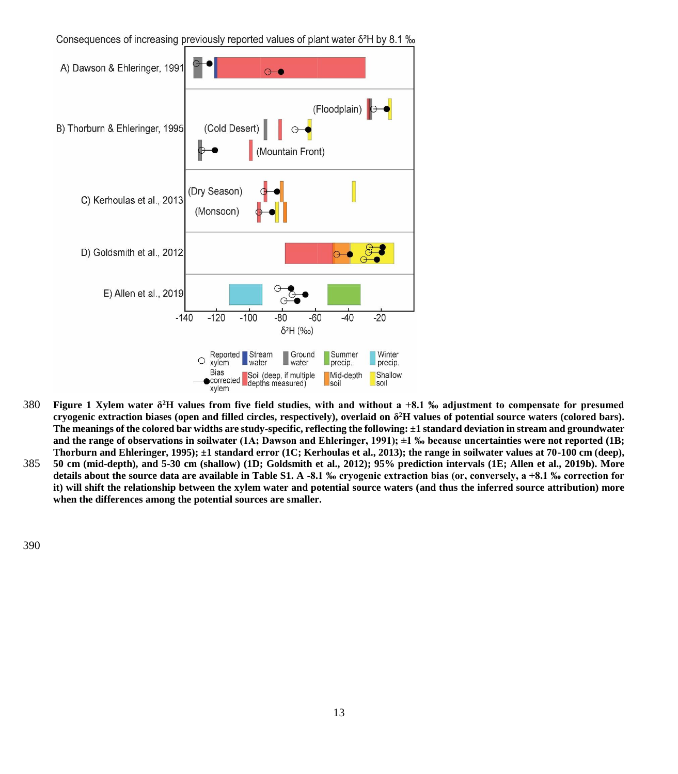Consequences of increasing previously reported values of plant water  $\delta^2 H$  by 8.1 ‰



- **Figure 1 Xylem water δ** 380 **<sup>2</sup>H values from five field studies, with and without a +8.1 ‰ adjustment to compensate for presumed cryogenic extraction biases (open and filled circles, respectively), overlaid on δ <sup>2</sup>H values of potential source waters (colored bars). The meanings of the colored bar widths are study-specific, reflecting the following: ±1 standard deviation in stream and groundwater and the range of observations in soilwater (1A; Dawson and Ehleringer, 1991); ±1 ‰ because uncertainties were not reported (1B; Thorburn and Ehleringer, 1995); ±1 standard error (1C; Kerhoulas et al., 2013); the range in soilwater values at 70-100 cm (deep),**
- 385 **50 cm (mid-depth), and 5-30 cm (shallow) (1D; Goldsmith et al., 2012); 95% prediction intervals (1E; Allen et al., 2019b). More details about the source data are available in Table S1. A -8.1 ‰ cryogenic extraction bias (or, conversely, a +8.1 ‰ correction for it) will shift the relationship between the xylem water and potential source waters (and thus the inferred source attribution) more when the differences among the potential sources are smaller.**

390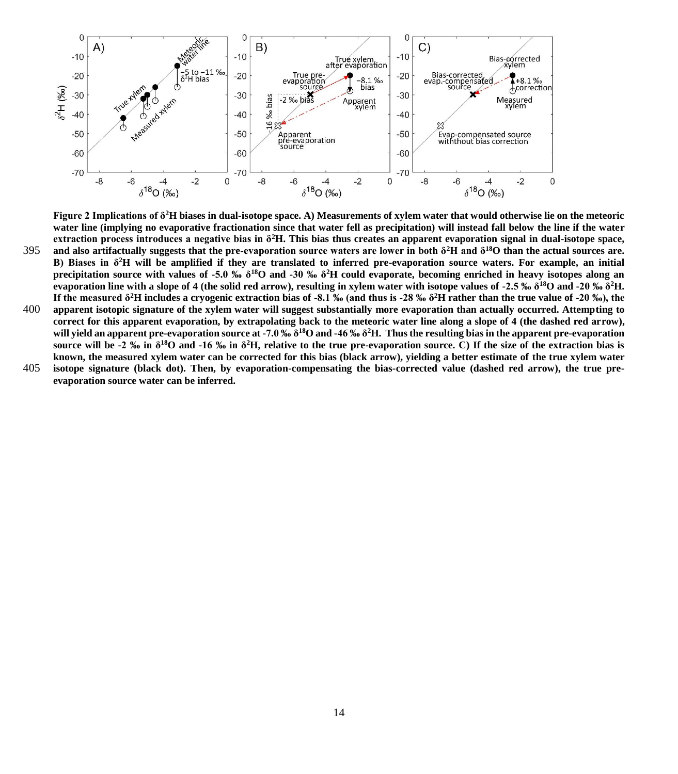

**Figure 2 Implications of δ<sup>2</sup>H biases in dual-isotope space. A) Measurements of xylem water that would otherwise lie on the meteoric water line (implying no evaporative fractionation since that water fell as precipitation) will instead fall below the line if the water extraction process introduces a negative bias in δ<sup>2</sup>H. This bias thus creates an apparent evaporation signal in dual-isotope space, and also artifactually suggests that the pre-evaporation source waters are lower in both δ<sup>2</sup>H and δ** 395 **<sup>18</sup>O than the actual sources are. B) Biases in δ<sup>2</sup>H will be amplified if they are translated to inferred pre-evaporation source waters. For example, an initial precipitation source with values of -5.0 ‰ δ<sup>18</sup>O and -30 ‰ δ<sup>2</sup>H could evaporate, becoming enriched in heavy isotopes along an evaporation line with a slope of 4 (the solid red arrow), resulting in xylem water with isotope values of -2.5 ‰ δ<sup>18</sup>O and -20 ‰ δ<sup>2</sup>H. If the measured δ<sup>2</sup>H includes a cryogenic extraction bias of -8.1 ‰ (and thus is -28 ‰ δ <sup>2</sup>H rather than the true value of -20 ‰), the** 

- 400 **apparent isotopic signature of the xylem water will suggest substantially more evaporation than actually occurred. Attempting to correct for this apparent evaporation, by extrapolating back to the meteoric water line along a slope of 4 (the dashed red arrow), will yield an apparent pre-evaporation source at -7.0 ‰ δ<sup>18</sup>O and -46 ‰ δ<sup>2</sup>H. Thus the resulting bias in the apparent pre-evaporation source will be -2 ‰ in δ<sup>18</sup>O and -16 ‰ in δ<sup>2</sup>H, relative to the true pre-evaporation source. C) If the size of the extraction bias is known, the measured xylem water can be corrected for this bias (black arrow), yielding a better estimate of the true xylem water**
- 405 **isotope signature (black dot). Then, by evaporation-compensating the bias-corrected value (dashed red arrow), the true preevaporation source water can be inferred.**